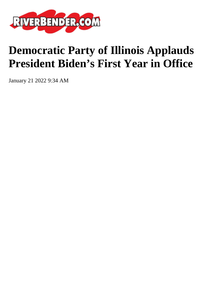

## **Democratic Party of Illinois Applauds President Biden's First Year in Office**

January 21 2022 9:34 AM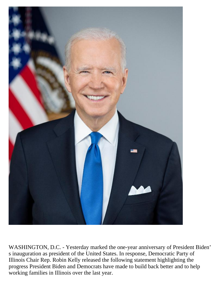

WASHINGTON, D.C. - Yesterday marked the one-year anniversary of President Biden' s inauguration as president of the United States. In response, Democratic Party of Illinois Chair Rep. Robin Kelly released the following statement highlighting the progress President Biden and Democrats have made to build back better and to help working families in Illinois over the last year.